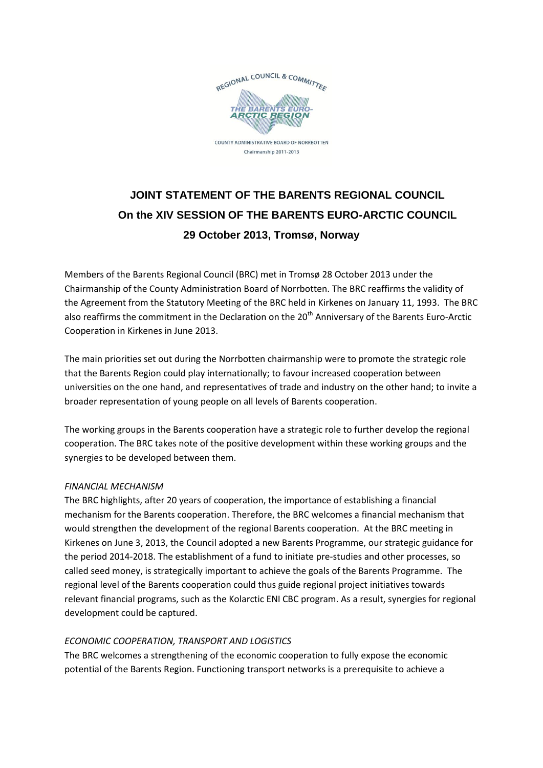

# **JOINT STATEMENT OF THE BARENTS REGIONAL COUNCIL On the XIV SESSION OF THE BARENTS EURO-ARCTIC COUNCIL 29 October 2013, Tromsø, Norway**

Members of the Barents Regional Council (BRC) met in Tromsø 28 October 2013 under the Chairmanship of the County Administration Board of Norrbotten. The BRC reaffirms the validity of the Agreement from the Statutory Meeting of the BRC held in Kirkenes on January 11, 1993. The BRC also reaffirms the commitment in the Declaration on the 20<sup>th</sup> Anniversary of the Barents Euro-Arctic Cooperation in Kirkenes in June 2013.

The main priorities set out during the Norrbotten chairmanship were to promote the strategic role that the Barents Region could play internationally; to favour increased cooperation between universities on the one hand, and representatives of trade and industry on the other hand; to invite a broader representation of young people on all levels of Barents cooperation.

The working groups in the Barents cooperation have a strategic role to further develop the regional cooperation. The BRC takes note of the positive development within these working groups and the synergies to be developed between them.

# *FINANCIAL MECHANISM*

The BRC highlights, after 20 years of cooperation, the importance of establishing a financial mechanism for the Barents cooperation. Therefore, the BRC welcomes a financial mechanism that would strengthen the development of the regional Barents cooperation. At the BRC meeting in Kirkenes on June 3, 2013, the Council adopted a new Barents Programme, our strategic guidance for the period 2014-2018. The establishment of a fund to initiate pre-studies and other processes, so called seed money, is strategically important to achieve the goals of the Barents Programme. The regional level of the Barents cooperation could thus guide regional project initiatives towards relevant financial programs, such as the Kolarctic ENI CBC program. As a result, synergies for regional development could be captured.

# *ECONOMIC COOPERATION, TRANSPORT AND LOGISTICS*

The BRC welcomes a strengthening of the economic cooperation to fully expose the economic potential of the Barents Region. Functioning transport networks is a prerequisite to achieve a